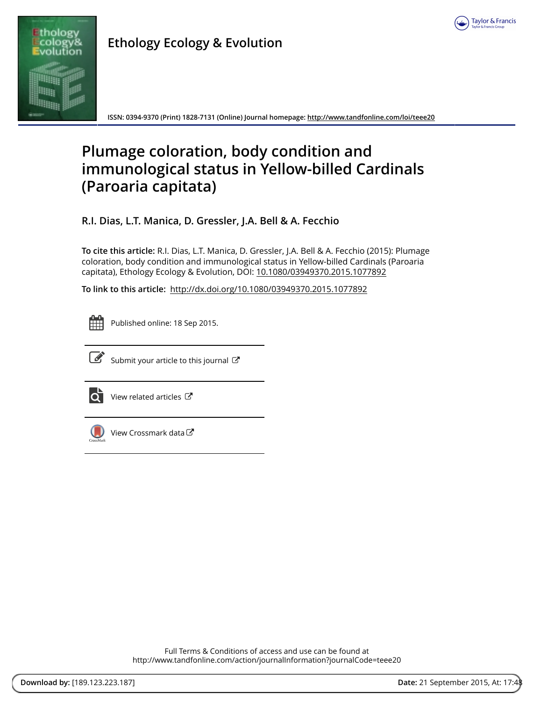

**Ethology Ecology & Evolution**

**ISSN: 0394-9370 (Print) 1828-7131 (Online) Journal homepage:<http://www.tandfonline.com/loi/teee20>**

# **Plumage coloration, body condition and immunological status in Yellow-billed Cardinals (Paroaria capitata)**

**R.I. Dias, L.T. Manica, D. Gressler, J.A. Bell & A. Fecchio**

**To cite this article:** R.I. Dias, L.T. Manica, D. Gressler, J.A. Bell & A. Fecchio (2015): Plumage coloration, body condition and immunological status in Yellow-billed Cardinals (Paroaria capitata), Ethology Ecology & Evolution, DOI: [10.1080/03949370.2015.1077892](http://www.tandfonline.com/action/showCitFormats?doi=10.1080/03949370.2015.1077892)

**To link to this article:** <http://dx.doi.org/10.1080/03949370.2015.1077892>



Published online: 18 Sep 2015.



 $\mathbb G$  [Submit your article to this journal](http://www.tandfonline.com/action/authorSubmission?journalCode=teee20&page=instructions)  $\mathbb G$ 



[View related articles](http://www.tandfonline.com/doi/mlt/10.1080/03949370.2015.1077892) C



[View Crossmark data](http://crossmark.crossref.org/dialog/?doi=10.1080/03949370.2015.1077892&domain=pdf&date_stamp=2015-09-18)<sup>C</sup>

Full Terms & Conditions of access and use can be found at <http://www.tandfonline.com/action/journalInformation?journalCode=teee20>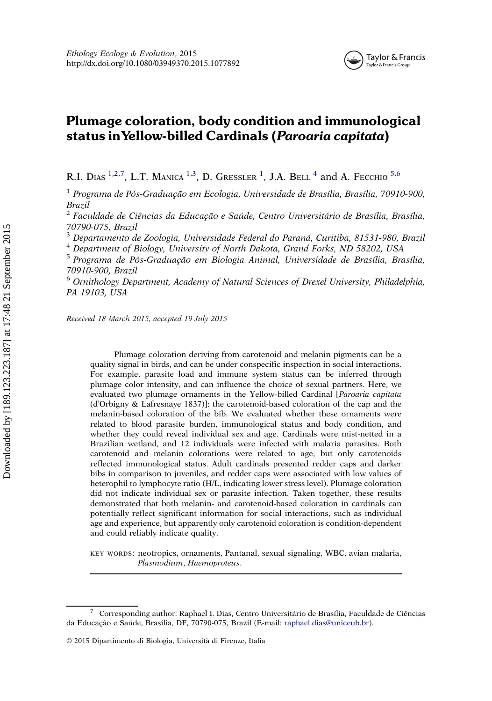

# Plumage coloration, body condition and immunological status inYellow-billed Cardinals (Paroaria capitata)

R.I. DIAS  $^{1,2,7}$ , L.T. MANICA  $^{1,3}$ , D. Gressler  $^{1}$ , J.A. Bell  $^{4}$  and A. Fecchio  $^{5,6}$ 

<sup>1</sup> Programa de Pós-Graduação em Ecologia, Universidade de Brasília, Brasília, 70910-900, Brazil

<sup>2</sup> Faculdade de Ciências da Educação e Saúde, Centro Universitário de Brasília, Brasília, 70790-075, Brazil

<sup>3</sup> Departamento de Zoologia, Universidade Federal do Paraná, Curitiba, 81531-980, Brazil

<sup>4</sup> Department of Biology, University of North Dakota, Grand Forks, ND 58202, USA

<sup>5</sup> Programa de Pós-Graduação em Biologia Animal, Universidade de Brasília, Brasília, 70910-900, Brazil

<sup>6</sup> Ornithology Department, Academy of Natural Sciences of Drexel University, Philadelphia, PA 19103, USA

Received 18 March 2015, accepted 19 July 2015

Plumage coloration deriving from carotenoid and melanin pigments can be a quality signal in birds, and can be under conspecific inspection in social interactions. For example, parasite load and immune system status can be inferred through plumage color intensity, and can influence the choice of sexual partners. Here, we evaluated two plumage ornaments in the Yellow-billed Cardinal [Paroaria capitata (d'Orbigny & Lafresnaye 1837)]: the carotenoid-based coloration of the cap and the melanin-based coloration of the bib. We evaluated whether these ornaments were related to blood parasite burden, immunological status and body condition, and whether they could reveal individual sex and age. Cardinals were mist-netted in a Brazilian wetland, and 12 individuals were infected with malaria parasites. Both carotenoid and melanin colorations were related to age, but only carotenoids reflected immunological status. Adult cardinals presented redder caps and darker bibs in comparison to juveniles, and redder caps were associated with low values of heterophil to lymphocyte ratio (H/L, indicating lower stress level). Plumage coloration did not indicate individual sex or parasite infection. Taken together, these results demonstrated that both melanin- and carotenoid-based coloration in cardinals can potentially reflect significant information for social interactions, such as individual age and experience, but apparently only carotenoid coloration is condition-dependent and could reliably indicate quality.

KEY WORDS: neotropics, ornaments, Pantanal, sexual signaling, WBC, avian malaria, Plasmodium, Haemoproteus.

<sup>7</sup> Corresponding author: Raphael I. Dias, Centro Universitário de Brasília, Faculdade de Ciências da Educação e Saúde, Brasília, DF, 70790-075, Brazil (E‑mail: raphael.dias@uniceub.br).

<sup>© 2015</sup> Dipartimento di Biologia, Università di Firenze, Italia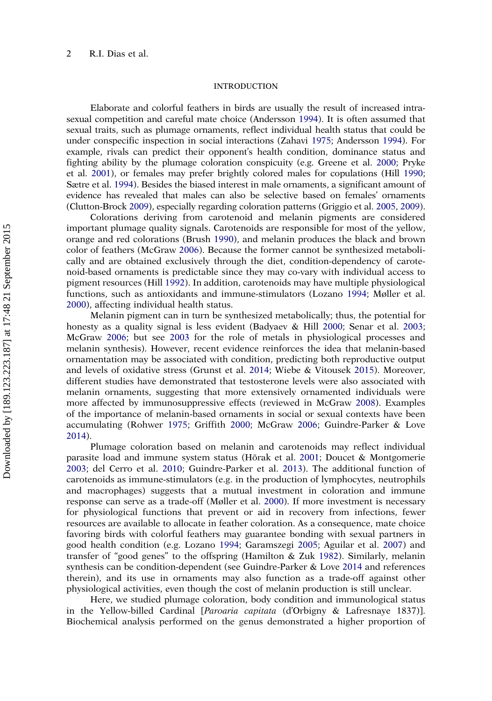# **INTRODUCTION**

Elaborate and colorful feathers in birds are usually the result of increased intrasexual competition and careful mate choice (Andersson [1994](#page-12-0)). It is often assumed that sexual traits, such as plumage ornaments, reflect individual health status that could be under conspecific inspection in social interactions (Zahavi [1975;](#page-15-0) Andersson [1994](#page-12-0)). For example, rivals can predict their opponent's health condition, dominance status and fighting ability by the plumage coloration conspicuity (e.g. Greene et al. [2000](#page-13-0); Pryke et al. [2001](#page-14-0)), or females may prefer brightly colored males for copulations (Hill [1990](#page-13-0); Sætre et al. [1994\)](#page-15-0). Besides the biased interest in male ornaments, a significant amount of evidence has revealed that males can also be selective based on females' ornaments (Clutton-Brock [2009](#page-12-0)), especially regarding coloration patterns (Griggio et al. [2005,](#page-13-0) [2009](#page-13-0)).

Colorations deriving from carotenoid and melanin pigments are considered important plumage quality signals. Carotenoids are responsible for most of the yellow, orange and red colorations (Brush [1990](#page-12-0)), and melanin produces the black and brown color of feathers (McGraw [2006\)](#page-14-0). Because the former cannot be synthesized metabolically and are obtained exclusively through the diet, condition-dependency of carotenoid-based ornaments is predictable since they may co-vary with individual access to pigment resources (Hill [1992](#page-13-0)). In addition, carotenoids may have multiple physiological functions, such as antioxidants and immune-stimulators (Lozano [1994;](#page-14-0) Møller et al. [2000](#page-14-0)), affecting individual health status.

Melanin pigment can in turn be synthesized metabolically; thus, the potential for honesty as a quality signal is less evident (Badyaev & Hill [2000;](#page-12-0) Senar et al. [2003](#page-15-0); McGraw [2006;](#page-14-0) but see [2003](#page-14-0) for the role of metals in physiological processes and melanin synthesis). However, recent evidence reinforces the idea that melanin-based ornamentation may be associated with condition, predicting both reproductive output and levels of oxidative stress (Grunst et al. [2014;](#page-13-0) Wiebe & Vitousek [2015](#page-15-0)). Moreover, different studies have demonstrated that testosterone levels were also associated with melanin ornaments, suggesting that more extensively ornamented individuals were more affected by immunosuppressive effects (reviewed in McGraw [2008\)](#page-14-0). Examples of the importance of melanin-based ornaments in social or sexual contexts have been accumulating (Rohwer [1975](#page-14-0); Griffith [2000;](#page-13-0) McGraw [2006](#page-14-0); Guindre-Parker & Love [2014](#page-13-0)).

Plumage coloration based on melanin and carotenoids may reflect individual parasite load and immune system status (Hõrak et al. [2001](#page-14-0); Doucet & Montgomerie [2003](#page-13-0); del Cerro et al. [2010;](#page-12-0) Guindre-Parker et al. [2013](#page-13-0)). The additional function of carotenoids as immune-stimulators (e.g. in the production of lymphocytes, neutrophils and macrophages) suggests that a mutual investment in coloration and immune response can serve as a trade-off (Møller et al. [2000\)](#page-14-0). If more investment is necessary for physiological functions that prevent or aid in recovery from infections, fewer resources are available to allocate in feather coloration. As a consequence, mate choice favoring birds with colorful feathers may guarantee bonding with sexual partners in good health condition (e.g. Lozano [1994;](#page-14-0) Garamszegi [2005;](#page-13-0) Aguilar et al. [2007\)](#page-12-0) and transfer of "good genes" to the offspring (Hamilton & Zuk [1982\)](#page-13-0). Similarly, melanin synthesis can be condition-dependent (see Guindre-Parker & Love [2014](#page-13-0) and references therein), and its use in ornaments may also function as a trade-off against other physiological activities, even though the cost of melanin production is still unclear.

Here, we studied plumage coloration, body condition and immunological status in the Yellow-billed Cardinal [Paroaria capitata (d'Orbigny & Lafresnaye 1837)]. Biochemical analysis performed on the genus demonstrated a higher proportion of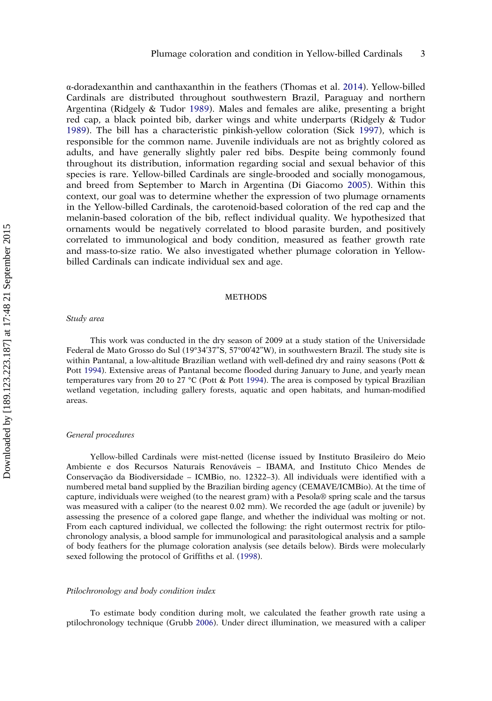α-doradexanthin and canthaxanthin in the feathers (Thomas et al. [2014\)](#page-15-0). Yellow-billed Cardinals are distributed throughout southwestern Brazil, Paraguay and northern Argentina (Ridgely & Tudor [1989\)](#page-14-0). Males and females are alike, presenting a bright red cap, a black pointed bib, darker wings and white underparts (Ridgely & Tudor [1989](#page-14-0)). The bill has a characteristic pinkish-yellow coloration (Sick [1997\)](#page-15-0), which is responsible for the common name. Juvenile individuals are not as brightly colored as adults, and have generally slightly paler red bibs. Despite being commonly found throughout its distribution, information regarding social and sexual behavior of this species is rare. Yellow-billed Cardinals are single-brooded and socially monogamous, and breed from September to March in Argentina (Di Giacomo [2005](#page-13-0)). Within this context, our goal was to determine whether the expression of two plumage ornaments in the Yellow-billed Cardinals, the carotenoid-based coloration of the red cap and the melanin-based coloration of the bib, reflect individual quality. We hypothesized that ornaments would be negatively correlated to blood parasite burden, and positively correlated to immunological and body condition, measured as feather growth rate and mass-to-size ratio. We also investigated whether plumage coloration in Yellowbilled Cardinals can indicate individual sex and age.

# METHODS

#### Study area

This work was conducted in the dry season of 2009 at a study station of the Universidade Federal de Mato Grosso do Sul (19°34'37"S, 57°00'42"W), in southwestern Brazil. The study site is within Pantanal, a low-altitude Brazilian wetland with well-defined dry and rainy seasons (Pott & Pott [1994\)](#page-14-0). Extensive areas of Pantanal become flooded during January to June, and yearly mean temperatures vary from 20 to 27 °C (Pott & Pott [1994](#page-14-0)). The area is composed by typical Brazilian wetland vegetation, including gallery forests, aquatic and open habitats, and human-modified areas.

#### General procedures

Yellow-billed Cardinals were mist-netted (license issued by Instituto Brasileiro do Meio Ambiente e dos Recursos Naturais Renováveis – IBAMA, and Instituto Chico Mendes de Conservação da Biodiversidade – ICMBio, no. 12322–3). All individuals were identified with a numbered metal band supplied by the Brazilian birding agency (CEMAVE/ICMBio). At the time of capture, individuals were weighed (to the nearest gram) with a Pesola® spring scale and the tarsus was measured with a caliper (to the nearest 0.02 mm). We recorded the age (adult or juvenile) by assessing the presence of a colored gape flange, and whether the individual was molting or not. From each captured individual, we collected the following: the right outermost rectrix for ptilochronology analysis, a blood sample for immunological and parasitological analysis and a sample of body feathers for the plumage coloration analysis (see details below). Birds were molecularly sexed following the protocol of Griffiths et al. ([1998](#page-13-0)).

#### Ptilochronology and body condition index

To estimate body condition during molt, we calculated the feather growth rate using a ptilochronology technique (Grubb [2006\)](#page-13-0). Under direct illumination, we measured with a caliper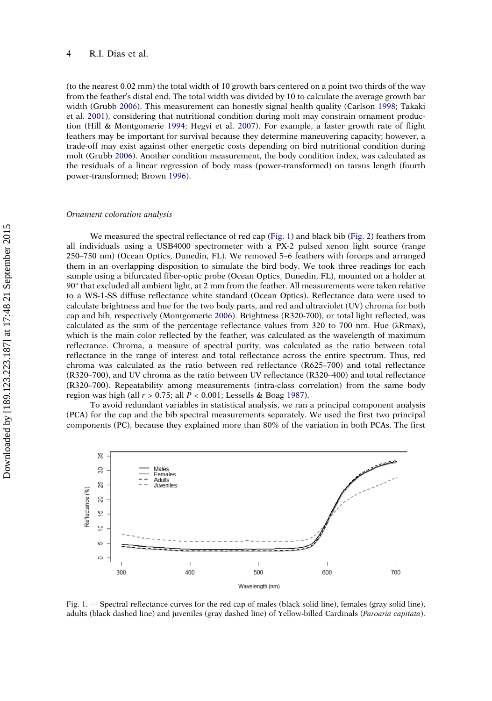#### 4 R.I. Dias et al.

(to the nearest 0.02 mm) the total width of 10 growth bars centered on a point two thirds of the way from the feather's distal end. The total width was divided by 10 to calculate the average growth bar width (Grubb [2006](#page-13-0)). This measurement can honestly signal health quality (Carlson [1998;](#page-12-0) Takaki et al. [2001](#page-15-0)), considering that nutritional condition during molt may constrain ornament production (Hill & Montgomerie [1994](#page-13-0); Hegyi et al. [2007](#page-13-0)). For example, a faster growth rate of flight feathers may be important for survival because they determine maneuvering capacity; however, a trade-off may exist against other energetic costs depending on bird nutritional condition during molt (Grubb [2006\)](#page-13-0). Another condition measurement, the body condition index, was calculated as the residuals of a linear regression of body mass (power-transformed) on tarsus length (fourth power-transformed; Brown [1996\)](#page-12-0).

# Ornament coloration analysis

We measured the spectral reflectance of red cap (Fig. 1) and black bib ([Fig. 2](#page-5-0)) feathers from all individuals using a USB4000 spectrometer with a PX-2 pulsed xenon light source (range 250–750 nm) (Ocean Optics, Dunedin, FL). We removed 5–6 feathers with forceps and arranged them in an overlapping disposition to simulate the bird body. We took three readings for each sample using a bifurcated fiber-optic probe (Ocean Optics, Dunedin, FL), mounted on a holder at 90° that excluded all ambient light, at 2 mm from the feather. All measurements were taken relative to a WS-1-SS diffuse reflectance white standard (Ocean Optics). Reflectance data were used to calculate brightness and hue for the two body parts, and red and ultraviolet (UV) chroma for both cap and bib, respectively (Montgomerie [2006\)](#page-14-0). Brightness (R320-700), or total light reflected, was calculated as the sum of the percentage reflectance values from 320 to 700 nm. Hue (λRmax), which is the main color reflected by the feather, was calculated as the wavelength of maximum reflectance. Chroma, a measure of spectral purity, was calculated as the ratio between total reflectance in the range of interest and total reflectance across the entire spectrum. Thus, red chroma was calculated as the ratio between red reflectance (R625–700) and total reflectance (R320–700), and UV chroma as the ratio between UV reflectance (R320–400) and total reflectance (R320–700). Repeatability among measurements (intra-class correlation) from the same body region was high (all  $r > 0.75$ ; all  $P < 0.001$ ; Lessells & Boag [1987](#page-14-0)).

To avoid redundant variables in statistical analysis, we ran a principal component analysis (PCA) for the cap and the bib spectral measurements separately. We used the first two principal components (PC), because they explained more than 80% of the variation in both PCAs. The first



Fig. 1. — Spectral reflectance curves for the red cap of males (black solid line), females (gray solid line), adults (black dashed line) and juveniles (gray dashed line) of Yellow-billed Cardinals (Paroaria capitata).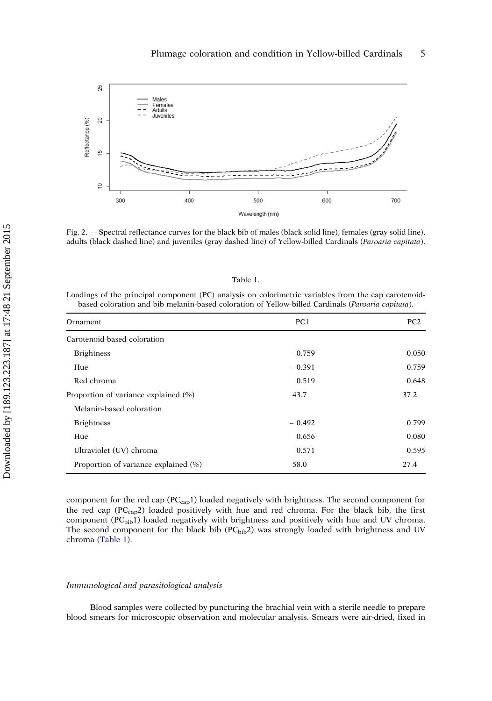<span id="page-5-0"></span>

Fig. 2. — Spectral reflectance curves for the black bib of males (black solid line), females (gray solid line), adults (black dashed line) and juveniles (gray dashed line) of Yellow-billed Cardinals (Paroaria capitata).

| г |  |  |
|---|--|--|
|   |  |  |

Loadings of the principal component (PC) analysis on colorimetric variables from the cap carotenoidbased coloration and bib melanin-based coloration of Yellow-billed Cardinals (Paroaria capitata).

| Ornament                                 | PC <sub>1</sub> | PC <sub>2</sub> |
|------------------------------------------|-----------------|-----------------|
| Carotenoid-based coloration              |                 |                 |
| <b>Brightness</b>                        | $-0.759$        | 0.050           |
| Hue                                      | $-0.391$        | 0.759           |
| Red chroma                               | 0.519           | 0.648           |
| Proportion of variance explained $(\% )$ | 43.7            | 37.2            |
| Melanin-based coloration                 |                 |                 |
| <b>Brightness</b>                        | $-0.492$        | 0.799           |
| Hue                                      | 0.656           | 0.080           |
| Ultraviolet (UV) chroma                  | 0.571           | 0.595           |
| Proportion of variance explained $(\% )$ | 58.0            | 27.4            |

component for the red cap (PCcap1) loaded negatively with brightness. The second component for the red cap ( $PC_{cap}$ 2) loaded positively with hue and red chroma. For the black bib, the first component  $(PC_{bib}1)$  loaded negatively with brightness and positively with hue and UV chroma. The second component for the black bib  $(PC_{bib}2)$  was strongly loaded with brightness and UV chroma (Table 1).

# Immunological and parasitological analysis

Blood samples were collected by puncturing the brachial vein with a sterile needle to prepare blood smears for microscopic observation and molecular analysis. Smears were air-dried, fixed in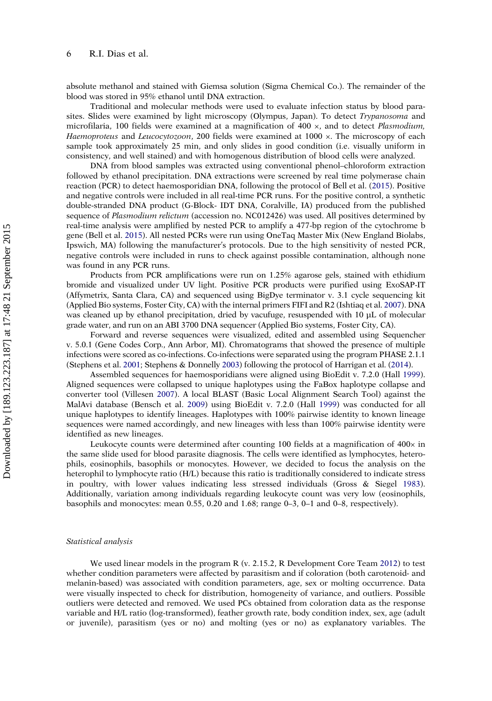absolute methanol and stained with Giemsa solution (Sigma Chemical Co.). The remainder of the blood was stored in 95% ethanol until DNA extraction.

Traditional and molecular methods were used to evaluate infection status by blood parasites. Slides were examined by light microscopy (Olympus, Japan). To detect *Trypanosoma* and microfilaria, 100 fields were examined at a magnification of  $400 \times$ , and to detect *Plasmodium*, Haemoproteus and Leucocytozoon, 200 fields were examined at 1000 x. The microscopy of each sample took approximately 25 min, and only slides in good condition (i.e. visually uniform in consistency, and well stained) and with homogenous distribution of blood cells were analyzed.

DNA from blood samples was extracted using conventional phenol–chloroform extraction followed by ethanol precipitation. DNA extractions were screened by real time polymerase chain reaction (PCR) to detect haemosporidian DNA, following the protocol of Bell et al. [\(2015\)](#page-12-0). Positive and negative controls were included in all real-time PCR runs. For the positive control, a synthetic double-stranded DNA product (G-Block- IDT DNA, Coralville, IA) produced from the published sequence of Plasmodium relictum (accession no. NC012426) was used. All positives determined by real-time analysis were amplified by nested PCR to amplify a 477-bp region of the cytochrome b gene (Bell et al. [2015\)](#page-12-0). All nested PCRs were run using OneTaq Master Mix (New England Biolabs, Ipswich, MA) following the manufacturer's protocols. Due to the high sensitivity of nested PCR, negative controls were included in runs to check against possible contamination, although none was found in any PCR runs.

Products from PCR amplifications were run on 1.25% agarose gels, stained with ethidium bromide and visualized under UV light. Positive PCR products were purified using ExoSAP-IT (Affymetrix, Santa Clara, CA) and sequenced using BigDye terminator v. 3.1 cycle sequencing kit (Applied Bio systems, Foster City, CA) with the internal primers FIFI and R2 (Ishtiaq et al. [2007\)](#page-14-0). DNA was cleaned up by ethanol precipitation, dried by vacufuge, resuspended with 10 μL of molecular grade water, and run on an ABI 3700 DNA sequencer (Applied Bio systems, Foster City, CA).

Forward and reverse sequences were visualized, edited and assembled using Sequencher v. 5.0.1 (Gene Codes Corp., Ann Arbor, MI). Chromatograms that showed the presence of multiple infections were scored as co-infections. Co-infections were separated using the program PHASE 2.1.1 (Stephens et al. [2001;](#page-15-0) Stephens & Donnelly [2003\)](#page-15-0) following the protocol of Harrigan et al. [\(2014](#page-13-0)).

Assembled sequences for haemosporidians were aligned using BioEdit v. 7.2.0 (Hall [1999\)](#page-13-0). Aligned sequences were collapsed to unique haplotypes using the FaBox haplotype collapse and converter tool (Villesen [2007](#page-15-0)). A local BLAST (Basic Local Alignment Search Tool) against the MalAvi database (Bensch et al. [2009](#page-12-0)) using BioEdit v. 7.2.0 (Hall [1999\)](#page-13-0) was conducted for all unique haplotypes to identify lineages. Haplotypes with 100% pairwise identity to known lineage sequences were named accordingly, and new lineages with less than 100% pairwise identity were identified as new lineages.

Leukocyte counts were determined after counting 100 fields at a magnification of  $400\times$  in the same slide used for blood parasite diagnosis. The cells were identified as lymphocytes, heterophils, eosinophils, basophils or monocytes. However, we decided to focus the analysis on the heterophil to lymphocyte ratio (H/L) because this ratio is traditionally considered to indicate stress in poultry, with lower values indicating less stressed individuals (Gross & Siegel [1983\)](#page-13-0). Additionally, variation among individuals regarding leukocyte count was very low (eosinophils, basophils and monocytes: mean 0.55, 0.20 and 1.68; range 0–3, 0–1 and 0–8, respectively).

#### Statistical analysis

We used linear models in the program R (v. 2.15.2, R Development Core Team [2012\)](#page-14-0) to test whether condition parameters were affected by parasitism and if coloration (both carotenoid- and melanin-based) was associated with condition parameters, age, sex or molting occurrence. Data were visually inspected to check for distribution, homogeneity of variance, and outliers. Possible outliers were detected and removed. We used PCs obtained from coloration data as the response variable and H/L ratio (log-transformed), feather growth rate, body condition index, sex, age (adult or juvenile), parasitism (yes or no) and molting (yes or no) as explanatory variables. The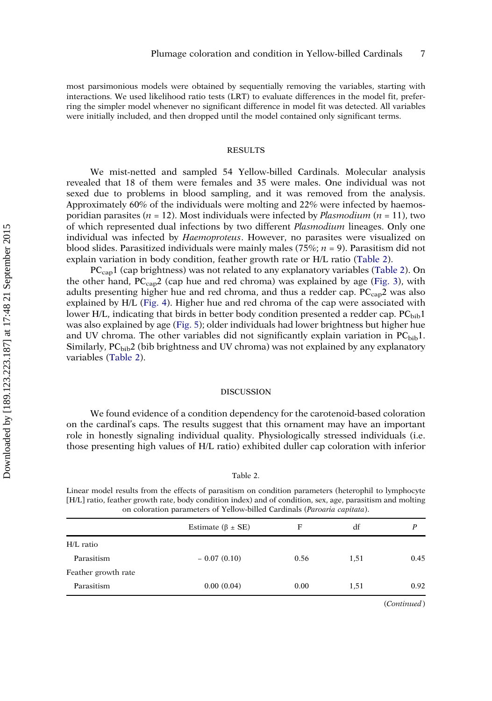most parsimonious models were obtained by sequentially removing the variables, starting with interactions. We used likelihood ratio tests (LRT) to evaluate differences in the model fit, preferring the simpler model whenever no significant difference in model fit was detected. All variables were initially included, and then dropped until the model contained only significant terms.

# RESULTS

We mist-netted and sampled 54 Yellow-billed Cardinals. Molecular analysis revealed that 18 of them were females and 35 were males. One individual was not sexed due to problems in blood sampling, and it was removed from the analysis. Approximately 60% of the individuals were molting and 22% were infected by haemosporidian parasites ( $n = 12$ ). Most individuals were infected by *Plasmodium* ( $n = 11$ ), two of which represented dual infections by two different Plasmodium lineages. Only one individual was infected by *Haemoproteus*. However, no parasites were visualized on blood slides. Parasitized individuals were mainly males (75%;  $n = 9$ ). Parasitism did not explain variation in body condition, feather growth rate or H/L ratio (Table 2).

PC<sub>cap</sub>1 (cap brightness) was not related to any explanatory variables (Table 2). On the other hand,  $PC_{cap2}$  (cap hue and red chroma) was explained by age [\(Fig. 3](#page-9-0)), with adults presenting higher hue and red chroma, and thus a redder cap.  $PC_{cap}2$  was also explained by H/L ([Fig. 4](#page-9-0)). Higher hue and red chroma of the cap were associated with lower H/L, indicating that birds in better body condition presented a redder cap.  $PC<sub>bib</sub>1$ was also explained by age ([Fig. 5](#page-10-0)); older individuals had lower brightness but higher hue and UV chroma. The other variables did not significantly explain variation in  $PC_{bib}1$ . Similarly,  $PC<sub>bib</sub>2$  (bib brightness and UV chroma) was not explained by any explanatory variables (Table 2).

# DISCUSSION

We found evidence of a condition dependency for the carotenoid-based coloration on the cardinal's caps. The results suggest that this ornament may have an important role in honestly signaling individual quality. Physiologically stressed individuals (i.e. those presenting high values of H/L ratio) exhibited duller cap coloration with inferior

#### Table 2.

Linear model results from the effects of parasitism on condition parameters (heterophil to lymphocyte [H/L] ratio, feather growth rate, body condition index) and of condition, sex, age, parasitism and molting on coloration parameters of Yellow-billed Cardinals (Paroaria capitata).

|                     | Estimate ( $\beta \pm SE$ ) | F    | df   | D    |
|---------------------|-----------------------------|------|------|------|
| H/L ratio           |                             |      |      |      |
| Parasitism          | $-0.07(0.10)$               | 0.56 | 1,51 | 0.45 |
| Feather growth rate |                             |      |      |      |
| Parasitism          | 0.00(0.04)                  | 0.00 | 1,51 | 0.92 |
|                     |                             |      |      |      |

(Continued)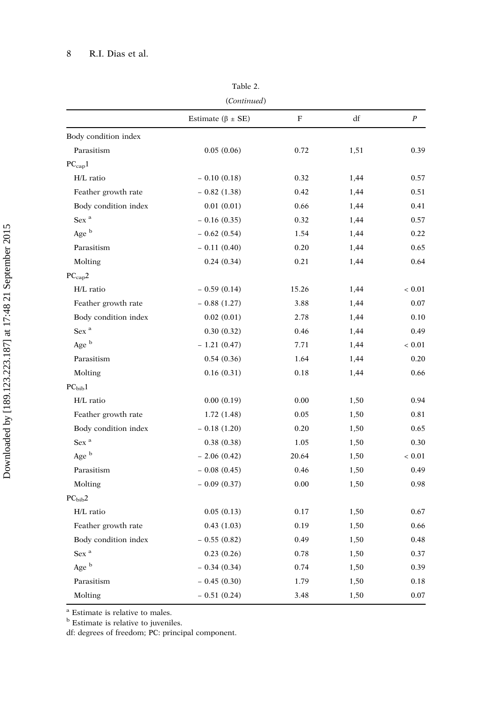| ۰,<br>×<br>× |  |
|--------------|--|
|--------------|--|

(Continued)

|                      | Estimate ( $\beta \pm SE$ ) | $\mathbf F$ | df   | $\boldsymbol{P}$ |
|----------------------|-----------------------------|-------------|------|------------------|
| Body condition index |                             |             |      |                  |
| Parasitism           | 0.05(0.06)                  | 0.72        | 1,51 | 0.39             |
| $PC_{\rm cap}1$      |                             |             |      |                  |
| H/L ratio            | $-0.10(0.18)$               | 0.32        | 1,44 | 0.57             |
| Feather growth rate  | $-0.82(1.38)$               | 0.42        | 1,44 | 0.51             |
| Body condition index | 0.01(0.01)                  | 0.66        | 1,44 | 0.41             |
| Sex <sup>a</sup>     | $-0.16(0.35)$               | 0.32        | 1,44 | 0.57             |
| Age b                | $-0.62(0.54)$               | 1.54        | 1,44 | 0.22             |
| Parasitism           | $-0.11(0.40)$               | 0.20        | 1,44 | 0.65             |
| Molting              | 0.24(0.34)                  | 0.21        | 1,44 | 0.64             |
| $PC_{cap}2$          |                             |             |      |                  |
| H/L ratio            | $-0.59(0.14)$               | 15.26       | 1,44 | ${}< 0.01$       |
| Feather growth rate  | $-0.88(1.27)$               | 3.88        | 1,44 | 0.07             |
| Body condition index | 0.02(0.01)                  | 2.78        | 1,44 | 0.10             |
| Sex $^{\rm a}$       | 0.30(0.32)                  | 0.46        | 1,44 | 0.49             |
| Age b                | $-1.21(0.47)$               | 7.71        | 1,44 | ${}< 0.01$       |
| Parasitism           | 0.54(0.36)                  | 1.64        | 1,44 | 0.20             |
| Molting              | 0.16(0.31)                  | 0.18        | 1,44 | 0.66             |
| PC <sub>bib</sub> 1  |                             |             |      |                  |
| H/L ratio            | 0.00(0.19)                  | 0.00        | 1,50 | 0.94             |
| Feather growth rate  | 1.72(1.48)                  | 0.05        | 1,50 | 0.81             |
| Body condition index | $-0.18(1.20)$               | 0.20        | 1,50 | 0.65             |
| Sex <sup>a</sup>     | 0.38(0.38)                  | 1.05        | 1,50 | 0.30             |
| Age b                | $-2.06(0.42)$               | 20.64       | 1,50 | ${}< 0.01$       |
| Parasitism           | $-0.08(0.45)$               | 0.46        | 1,50 | 0.49             |
| Molting              | $-0.09(0.37)$               | 0.00        | 1,50 | 0.98             |
| PC <sub>bib</sub> 2  |                             |             |      |                  |
| H/L ratio            | 0.05(0.13)                  | 0.17        | 1,50 | 0.67             |
| Feather growth rate  | 0.43(1.03)                  | 0.19        | 1,50 | 0.66             |
| Body condition index | $-0.55(0.82)$               | 0.49        | 1,50 | 0.48             |
| Sex <sup>a</sup>     | 0.23(0.26)                  | 0.78        | 1,50 | 0.37             |
| Age b                | $-0.34(0.34)$               | 0.74        | 1,50 | 0.39             |
| Parasitism           | $-0.45(0.30)$               | 1.79        | 1,50 | 0.18             |
| Molting              | $-0.51(0.24)$               | 3.48        | 1,50 | 0.07             |

<sup>a</sup> Estimate is relative to males.

**b** Estimate is relative to juveniles.

df: degrees of freedom; PC: principal component.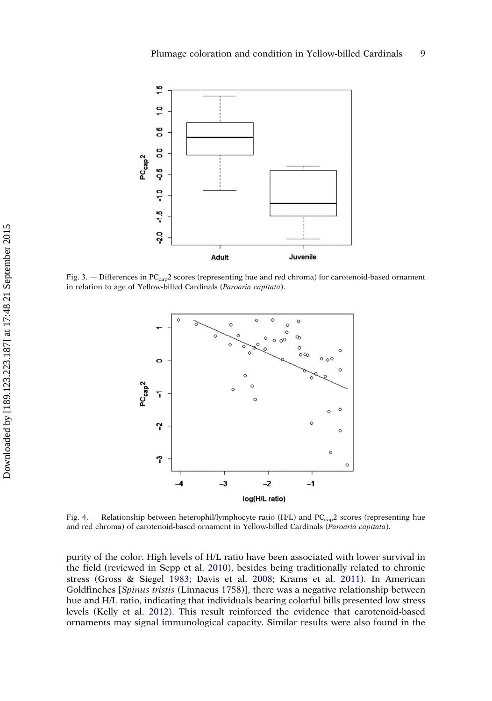<span id="page-9-0"></span>

Fig. 3. — Differences in PCcap2 scores (representing hue and red chroma) for carotenoid-based ornament in relation to age of Yellow-billed Cardinals (Paroaria capitata).



Fig. 4. — Relationship between heterophil/lymphocyte ratio (H/L) and PC<sub>cap</sub>2 scores (representing hue and red chroma) of carotenoid-based ornament in Yellow-billed Cardinals (Paroaria capitata).

purity of the color. High levels of H/L ratio have been associated with lower survival in the field (reviewed in Sepp et al. [2010](#page-15-0)), besides being traditionally related to chronic stress (Gross & Siegel [1983;](#page-13-0) Davis et al. [2008](#page-12-0); Krams et al. [2011\)](#page-14-0). In American Goldfinches [Spinus tristis (Linnaeus 1758)], there was a negative relationship between hue and H/L ratio, indicating that individuals bearing colorful bills presented low stress levels (Kelly et al. [2012](#page-14-0)). This result reinforced the evidence that carotenoid-based ornaments may signal immunological capacity. Similar results were also found in the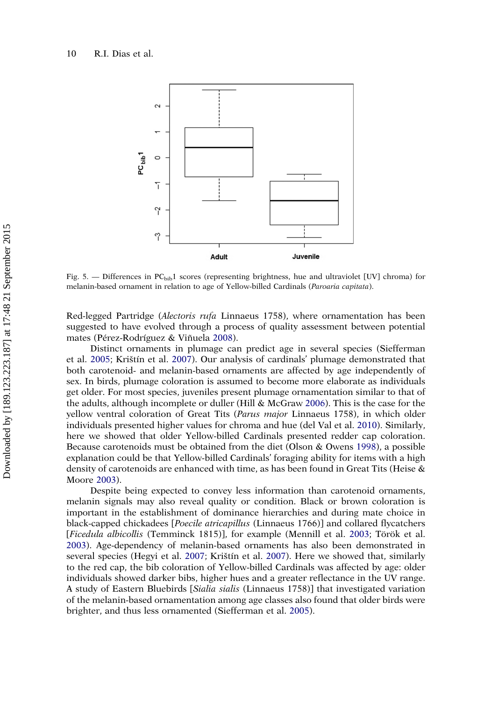<span id="page-10-0"></span>

Fig. 5. — Differences in  $PC_{bib}1$  scores (representing brightness, hue and ultraviolet [UV] chroma) for melanin-based ornament in relation to age of Yellow-billed Cardinals (Paroaria capitata).

Red-legged Partridge (Alectoris rufa Linnaeus 1758), where ornamentation has been suggested to have evolved through a process of quality assessment between potential mates (Pérez-Rodríguez & Viñuela [2008](#page-14-0)).

Distinct ornaments in plumage can predict age in several species (Siefferman et al. [2005](#page-15-0); Krištín et al. [2007](#page-14-0)). Our analysis of cardinals' plumage demonstrated that both carotenoid- and melanin-based ornaments are affected by age independently of sex. In birds, plumage coloration is assumed to become more elaborate as individuals get older. For most species, juveniles present plumage ornamentation similar to that of the adults, although incomplete or duller (Hill & McGraw [2006\)](#page-13-0). This is the case for the yellow ventral coloration of Great Tits (Parus major Linnaeus 1758), in which older individuals presented higher values for chroma and hue (del Val et al. [2010](#page-13-0)). Similarly, here we showed that older Yellow-billed Cardinals presented redder cap coloration. Because carotenoids must be obtained from the diet (Olson & Owens [1998](#page-14-0)), a possible explanation could be that Yellow-billed Cardinals' foraging ability for items with a high density of carotenoids are enhanced with time, as has been found in Great Tits (Heise & Moore [2003](#page-13-0)).

Despite being expected to convey less information than carotenoid ornaments, melanin signals may also reveal quality or condition. Black or brown coloration is important in the establishment of dominance hierarchies and during mate choice in black-capped chickadees [Poecile atricapillus (Linnaeus 1766)] and collared flycatchers [Ficedula albicollis (Temminck 1815)], for example (Mennill et al. [2003](#page-14-0); Török et al. [2003](#page-15-0)). Age-dependency of melanin-based ornaments has also been demonstrated in several species (Hegyi et al. [2007](#page-13-0); Krištín et al. [2007\)](#page-14-0). Here we showed that, similarly to the red cap, the bib coloration of Yellow-billed Cardinals was affected by age: older individuals showed darker bibs, higher hues and a greater reflectance in the UV range. A study of Eastern Bluebirds [Sialia sialis (Linnaeus 1758)] that investigated variation of the melanin-based ornamentation among age classes also found that older birds were brighter, and thus less ornamented (Siefferman et al. [2005](#page-15-0)).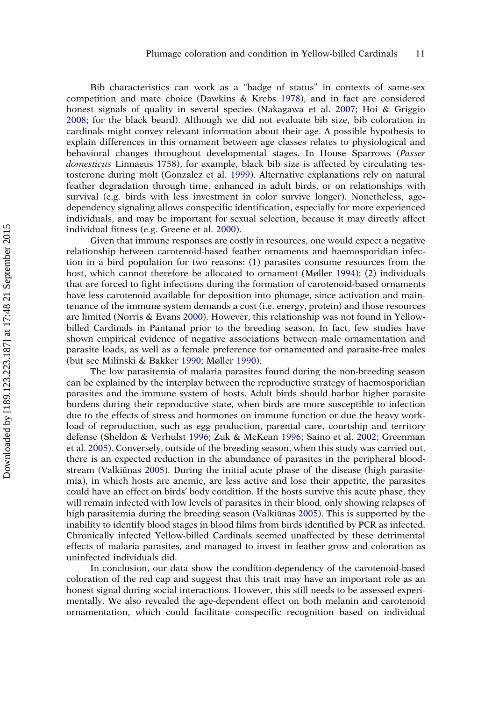Bib characteristics can work as a "badge of status" in contexts of same-sex competition and mate choice (Dawkins & Krebs [1978](#page-12-0)), and in fact are considered honest signals of quality in several species (Nakagawa et al. [2007](#page-14-0); Hoi & Griggio [2008](#page-14-0); for the black beard). Although we did not evaluate bib size, bib coloration in cardinals might convey relevant information about their age. A possible hypothesis to explain differences in this ornament between age classes relates to physiological and behavioral changes throughout developmental stages. In House Sparrows (Passer domesticus Linnaeus 1758), for example, black bib size is affected by circulating testosterone during molt (Gonzalez et al. [1999\)](#page-13-0). Alternative explanations rely on natural feather degradation through time, enhanced in adult birds, or on relationships with survival (e.g. birds with less investment in color survive longer). Nonetheless, agedependency signaling allows conspecific identification, especially for more experienced individuals, and may be important for sexual selection, because it may directly affect individual fitness (e.g. Greene et al. [2000\)](#page-13-0).

Given that immune responses are costly in resources, one would expect a negative relationship between carotenoid-based feather ornaments and haemosporidian infection in a bird population for two reasons: (1) parasites consume resources from the host, which cannot therefore be allocated to ornament (Møller [1994\)](#page-14-0); (2) individuals that are forced to fight infections during the formation of carotenoid-based ornaments have less carotenoid available for deposition into plumage, since activation and maintenance of the immune system demands a cost (i.e. energy, protein) and those resources are limited (Norris & Evans [2000](#page-14-0)). However, this relationship was not found in Yellowbilled Cardinals in Pantanal prior to the breeding season. In fact, few studies have shown empirical evidence of negative associations between male ornamentation and parasite loads, as well as a female preference for ornamented and parasite-free males (but see Milinski & Bakker [1990;](#page-14-0) Møller [1990\)](#page-14-0).

The low parasitemia of malaria parasites found during the non-breeding season can be explained by the interplay between the reproductive strategy of haemosporidian parasites and the immune system of hosts. Adult birds should harbor higher parasite burdens during their reproductive state, when birds are more susceptible to infection due to the effects of stress and hormones on immune function or due the heavy workload of reproduction, such as egg production, parental care, courtship and territory defense (Sheldon & Verhulst [1996](#page-15-0); Zuk & McKean [1996;](#page-15-0) Saino et al. [2002;](#page-15-0) Greenman et al. [2005](#page-13-0)). Conversely, outside of the breeding season, when this study was carried out, there is an expected reduction in the abundance of parasites in the peripheral bloodstream (Valkiūnas [2005\)](#page-15-0). During the initial acute phase of the disease (high parasitemia), in which hosts are anemic, are less active and lose their appetite, the parasites could have an effect on birds' body condition. If the hosts survive this acute phase, they will remain infected with low levels of parasites in their blood, only showing relapses of high parasitemia during the breeding season (Valkiūnas [2005\)](#page-15-0). This is supported by the inability to identify blood stages in blood films from birds identified by PCR as infected. Chronically infected Yellow-billed Cardinals seemed unaffected by these detrimental effects of malaria parasites, and managed to invest in feather grow and coloration as uninfected individuals did.

In conclusion, our data show the condition-dependency of the carotenoid-based coloration of the red cap and suggest that this trait may have an important role as an honest signal during social interactions. However, this still needs to be assessed experimentally. We also revealed the age-dependent effect on both melanin and carotenoid ornamentation, which could facilitate conspecific recognition based on individual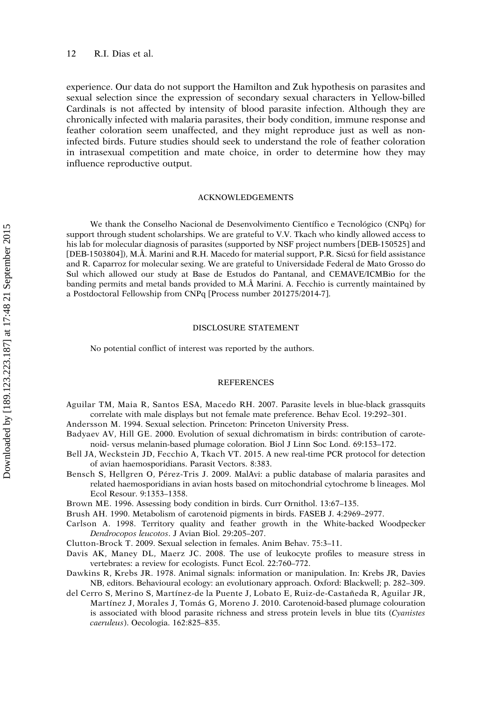<span id="page-12-0"></span>experience. Our data do not support the Hamilton and Zuk hypothesis on parasites and sexual selection since the expression of secondary sexual characters in Yellow-billed Cardinals is not affected by intensity of blood parasite infection. Although they are chronically infected with malaria parasites, their body condition, immune response and feather coloration seem unaffected, and they might reproduce just as well as noninfected birds. Future studies should seek to understand the role of feather coloration in intrasexual competition and mate choice, in order to determine how they may influence reproductive output.

# ACKNOWLEDGEMENTS

We thank the Conselho Nacional de Desenvolvimento Científico e Tecnológico (CNPq) for support through student scholarships. We are grateful to V.V. Tkach who kindly allowed access to his lab for molecular diagnosis of parasites (supported by NSF project numbers [DEB-150525] and [DEB-1503804]), M.Â. Marini and R.H. Macedo for material support, P.R. Sicsú for field assistance and R. Caparroz for molecular sexing. We are grateful to Universidade Federal de Mato Grosso do Sul which allowed our study at Base de Estudos do Pantanal, and CEMAVE/ICMBio for the banding permits and metal bands provided to M. Marini. A. Fecchio is currently maintained by a Postdoctoral Fellowship from CNPq [Process number 201275/2014-7].

# DISCLOSURE STATEMENT

No potential conflict of interest was reported by the authors.

#### REFERENCES

Aguilar TM, Maia R, Santos ESA, Macedo RH. 2007. Parasite levels in blue-black grassquits correlate with male displays but not female mate preference. Behav Ecol. 19:292–301.

Andersson M. 1994. Sexual selection. Princeton: Princeton University Press.

- Badyaev AV, Hill GE. 2000. Evolution of sexual dichromatism in birds: contribution of carotenoid- versus melanin-based plumage coloration. Biol J Linn Soc Lond. 69:153–172.
- Bell JA, Weckstein JD, Fecchio A, Tkach VT. 2015. A new real-time PCR protocol for detection of avian haemosporidians. Parasit Vectors. 8:383.
- Bensch S, Hellgren O, Pérez-Tris J. 2009. MalAvi: a public database of malaria parasites and related haemosporidians in avian hosts based on mitochondrial cytochrome b lineages. Mol Ecol Resour. 9:1353–1358.

Brown ME. 1996. Assessing body condition in birds. Curr Ornithol. 13:67–135.

- Brush AH. 1990. Metabolism of carotenoid pigments in birds. FASEB J. 4:2969–2977.
- Carlson A. 1998. Territory quality and feather growth in the White-backed Woodpecker Dendrocopos leucotos. J Avian Biol. 29:205–207.
- Clutton-Brock T. 2009. Sexual selection in females. Anim Behav. 75:3–11.
- Davis AK, Maney DL, Maerz JC. 2008. The use of leukocyte profiles to measure stress in vertebrates: a review for ecologists. Funct Ecol. 22:760–772.
- Dawkins R, Krebs JR. 1978. Animal signals: information or manipulation. In: Krebs JR, Davies NB, editors. Behavioural ecology: an evolutionary approach. Oxford: Blackwell; p. 282–309.
- del Cerro S, Merino S, Martínez-de la Puente J, Lobato E, Ruiz-de-Castañeda R, Aguilar JR, Martínez J, Morales J, Tomás G, Moreno J. 2010. Carotenoid-based plumage colouration is associated with blood parasite richness and stress protein levels in blue tits (Cyanistes caeruleus). Oecologia. 162:825–835.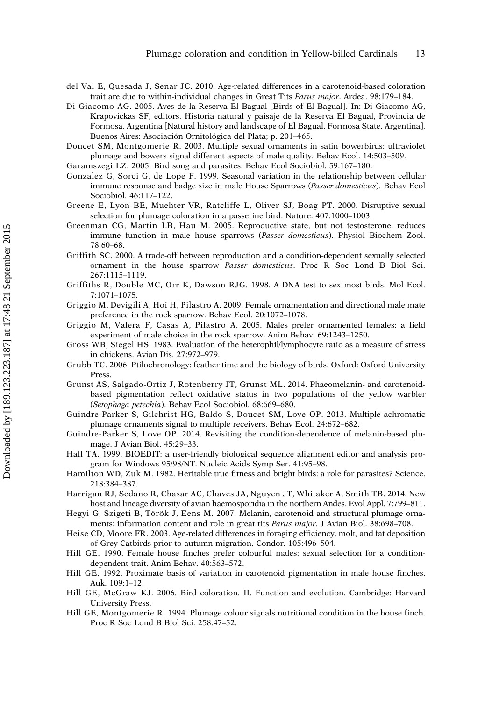- <span id="page-13-0"></span>del Val E, Quesada J, Senar JC. 2010. Age-related differences in a carotenoid-based coloration trait are due to within-individual changes in Great Tits Parus major. Ardea. 98:179-184.
- Di Giacomo AG. 2005. Aves de la Reserva El Bagual [Birds of El Bagual]. In: Di Giacomo AG, Krapovickas SF, editors. Historia natural y paisaje de la Reserva El Bagual, Provincia de Formosa, Argentina [Natural history and landscape of El Bagual, Formosa State, Argentina]. Buenos Aires: Asociación Ornitológica del Plata; p. 201–465.
- Doucet SM, Montgomerie R. 2003. Multiple sexual ornaments in satin bowerbirds: ultraviolet plumage and bowers signal different aspects of male quality. Behav Ecol. 14:503–509.
- Garamszegi LZ. 2005. Bird song and parasites. Behav Ecol Sociobiol. 59:167–180.
- Gonzalez G, Sorci G, de Lope F. 1999. Seasonal variation in the relationship between cellular immune response and badge size in male House Sparrows (Passer domesticus). Behav Ecol Sociobiol. 46:117–122.
- Greene E, Lyon BE, Muehter VR, Ratcliffe L, Oliver SJ, Boag PT. 2000. Disruptive sexual selection for plumage coloration in a passerine bird. Nature. 407:1000–1003.
- Greenman CG, Martin LB, Hau M. 2005. Reproductive state, but not testosterone, reduces immune function in male house sparrows (Passer domesticus). Physiol Biochem Zool. 78:60–68.
- Griffith SC. 2000. A trade-off between reproduction and a condition-dependent sexually selected ornament in the house sparrow Passer domesticus. Proc R Soc Lond B Biol Sci. 267:1115–1119.
- Griffiths R, Double MC, Orr K, Dawson RJG. 1998. A DNA test to sex most birds. Mol Ecol. 7:1071–1075.
- Griggio M, Devigili A, Hoi H, Pilastro A. 2009. Female ornamentation and directional male mate preference in the rock sparrow. Behav Ecol. 20:1072–1078.
- Griggio M, Valera F, Casas A, Pilastro A. 2005. Males prefer ornamented females: a field experiment of male choice in the rock sparrow. Anim Behav. 69:1243–1250.
- Gross WB, Siegel HS. 1983. Evaluation of the heterophil/lymphocyte ratio as a measure of stress in chickens. Avian Dis. 27:972–979.
- Grubb TC. 2006. Ptilochronology: feather time and the biology of birds. Oxford: Oxford University Press.
- Grunst AS, Salgado-Ortiz J, Rotenberry JT, Grunst ML. 2014. Phaeomelanin- and carotenoidbased pigmentation reflect oxidative status in two populations of the yellow warbler (Setophaga petechia). Behav Ecol Sociobiol. 68:669–680.
- Guindre-Parker S, Gilchrist HG, Baldo S, Doucet SM, Love OP. 2013. Multiple achromatic plumage ornaments signal to multiple receivers. Behav Ecol. 24:672–682.
- Guindre-Parker S, Love OP. 2014. Revisiting the condition-dependence of melanin-based plumage. J Avian Biol. 45:29–33.
- Hall TA. 1999. BIOEDIT: a user-friendly biological sequence alignment editor and analysis program for Windows 95/98/NT. Nucleic Acids Symp Ser. 41:95–98.
- Hamilton WD, Zuk M. 1982. Heritable true fitness and bright birds: a role for parasites? Science. 218:384–387.
- Harrigan RJ, Sedano R, Chasar AC, Chaves JA, Nguyen JT, Whitaker A, Smith TB. 2014. New host and lineage diversity of avian haemosporidia in the northern Andes. Evol Appl. 7:799–811.
- Hegyi G, Szigeti B, Török J, Eens M. 2007. Melanin, carotenoid and structural plumage ornaments: information content and role in great tits Parus major. J Avian Biol. 38:698-708.
- Heise CD, Moore FR. 2003. Age-related differences in foraging efficiency, molt, and fat deposition of Grey Catbirds prior to autumn migration. Condor. 105:496–504.
- Hill GE. 1990. Female house finches prefer colourful males: sexual selection for a conditiondependent trait. Anim Behav. 40:563–572.
- Hill GE. 1992. Proximate basis of variation in carotenoid pigmentation in male house finches. Auk. 109:1–12.
- Hill GE, McGraw KJ. 2006. Bird coloration. II. Function and evolution. Cambridge: Harvard University Press.
- Hill GE, Montgomerie R. 1994. Plumage colour signals nutritional condition in the house finch. Proc R Soc Lond B Biol Sci. 258:47–52.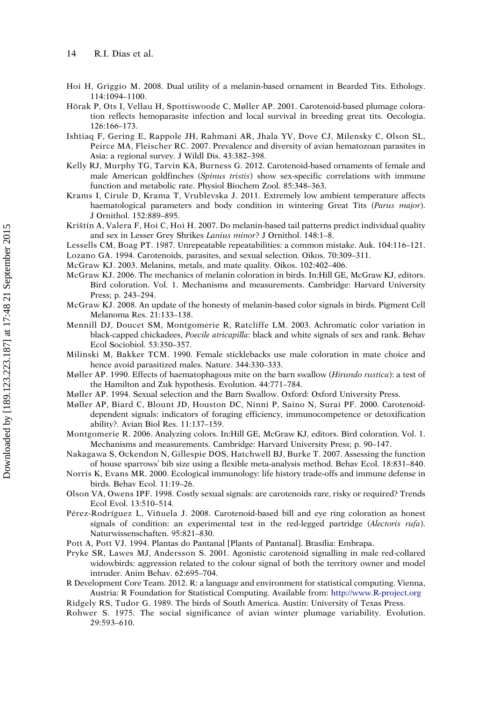- <span id="page-14-0"></span>Hoi H, Griggio M. 2008. Dual utility of a melanin-based ornament in Bearded Tits. Ethology. 114:1094–1100.
- Hõrak P, Ots I, Vellau H, Spottiswoode C, Møller AP. 2001. Carotenoid-based plumage coloration reflects hemoparasite infection and local survival in breeding great tits. Oecologia. 126:166–173.
- Ishtiaq F, Gering E, Rappole JH, Rahmani AR, Jhala YV, Dove CJ, Milensky C, Olson SL, Peirce MA, Fleischer RC. 2007. Prevalence and diversity of avian hematozoan parasites in Asia: a regional survey. J Wildl Dis. 43:382–398.
- Kelly RJ, Murphy TG, Tarvin KA, Burness G. 2012. Carotenoid-based ornaments of female and male American goldfinches (Spinus tristis) show sex-specific correlations with immune function and metabolic rate. Physiol Biochem Zool. 85:348–363.
- Krams I, Cirule D, Krama T, Vrublevska J. 2011. Extremely low ambient temperature affects haematological parameters and body condition in wintering Great Tits (Parus major). J Ornithol. 152:889–895.
- Krištín A, Valera F, Hoi C, Hoi H. 2007. Do melanin-based tail patterns predict individual quality and sex in Lesser Grey Shrikes Lanius minor? J Ornithol. 148:1–8.
- Lessells CM, Boag PT. 1987. Unrepeatable repeatabilities: a common mistake. Auk. 104:116–121.
- Lozano GA. 1994. Carotenoids, parasites, and sexual selection. Oikos. 70:309–311.
- McGraw KJ. 2003. Melanins, metals, and mate quality. Oikos. 102:402–406.
- McGraw KJ. 2006. The mechanics of melanin coloration in birds. In:Hill GE, McGraw KJ, editors. Bird coloration. Vol. 1. Mechanisms and measurements. Cambridge: Harvard University Press; p. 243–294.
- McGraw KJ. 2008. An update of the honesty of melanin-based color signals in birds. Pigment Cell Melanoma Res. 21:133–138.
- Mennill DJ, Doucet SM, Montgomerie R, Ratcliffe LM. 2003. Achromatic color variation in black-capped chickadees, Poecile atricapilla: black and white signals of sex and rank. Behav Ecol Sociobiol. 53:350–357.
- Milinski M, Bakker TCM. 1990. Female sticklebacks use male coloration in mate choice and hence avoid parasitized males. Nature. 344:330–333.
- Møller AP. 1990. Effects of haematophagous mite on the barn swallow (Hirundo rustica): a test of the Hamilton and Zuk hypothesis. Evolution. 44:771–784.
- Møller AP. 1994. Sexual selection and the Barn Swallow. Oxford: Oxford University Press.
- Møller AP, Biard C, Blount JD, Houston DC, Ninni P, Saino N, Surai PF. 2000. Carotenoiddependent signals: indicators of foraging efficiency, immunocompetence or detoxification ability?. Avian Biol Res. 11:137–159.
- Montgomerie R. 2006. Analyzing colors. In:Hill GE, McGraw KJ, editors. Bird coloration. Vol. 1. Mechanisms and measurements. Cambridge: Harvard University Press; p. 90–147.
- Nakagawa S, Ockendon N, Gillespie DOS, Hatchwell BJ, Burke T. 2007. Assessing the function of house sparrows' bib size using a flexible meta-analysis method. Behav Ecol. 18:831–840.
- Norris K, Evans MR. 2000. Ecological immunology: life history trade-offs and immune defense in birds. Behav Ecol. 11:19–26.
- Olson VA, Owens IPF. 1998. Costly sexual signals: are carotenoids rare, risky or required? Trends Ecol Evol. 13:510–514.
- Pérez-Rodríguez L, Viñuela J. 2008. Carotenoid-based bill and eye ring coloration as honest signals of condition: an experimental test in the red-legged partridge (Alectoris rufa). Naturwissenschaften. 95:821–830.
- Pott A, Pott VJ. 1994. Plantas do Pantanal [Plants of Pantanal]. Brasília: Embrapa.
- Pryke SR, Lawes MJ, Andersson S. 2001. Agonistic carotenoid signalling in male red-collared widowbirds: aggression related to the colour signal of both the territory owner and model intruder. Anim Behav. 62:695–704.
- R Development Core Team. 2012. R: a language and environment for statistical computing. Vienna, Austria: R Foundation for Statistical Computing. Available from: <http://www.R-project.org>
- Ridgely RS, Tudor G. 1989. The birds of South America. Austin: University of Texas Press.
- Rohwer S. 1975. The social significance of avian winter plumage variability. Evolution. 29:593–610.